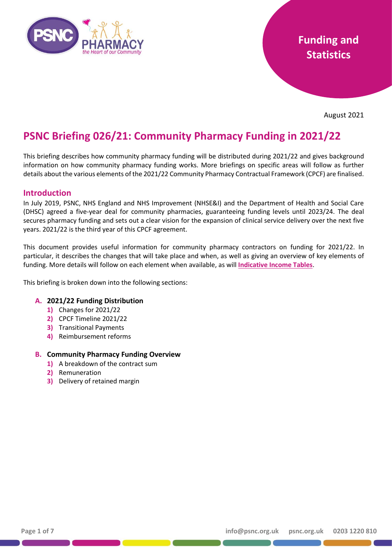

## **Funding and Statistics**

August 2021

# **PSNC Briefing 026/21: Community Pharmacy Funding in 2021/22**

This briefing describes how community pharmacy funding will be distributed during 2021/22 and gives background information on how community pharmacy funding works. More briefings on specific areas will follow as further details about the various elements of the 2021/22 Community Pharmacy Contractual Framework (CPCF) are finalised.

#### **Introduction**

In July 2019, PSNC, NHS England and NHS Improvement (NHSE&I) and the Department of Health and Social Care (DHSC) agreed a five-year deal for community pharmacies, guaranteeing funding levels until 2023/24. The deal secures pharmacy funding and sets out a clear vision for the expansion of clinical service delivery over the next five years. 2021/22 is the third year of this CPCF agreement.

This document provides useful information for community pharmacy contractors on funding for 2021/22. In particular, it describes the changes that will take place and when, as well as giving an overview of key elements of funding. More details will follow on each element when available, as will **[Indicative Income Tables](https://psnc.org.uk/funding-and-statistics/funding-distribution/indicative-income-tables/)**.

This briefing is broken down into the following sections:

#### **A. 2021/22 Funding Distribution**

- **1)** Changes for 2021/22
- **2)** CPCF Timeline 2021/22
- **3)** Transitional Payments
- **4)** Reimbursement reforms

#### **B. Community Pharmacy Funding Overview**

- **1)** A breakdown of the contract sum
- **2)** Remuneration
- **3)** Delivery of retained margin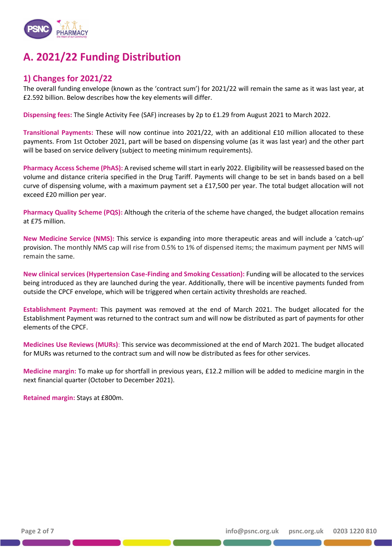

## **A. 2021/22 Funding Distribution**

### **1) Changes for 2021/22**

The overall funding envelope (known as the 'contract sum') for 2021/22 will remain the same as it was last year, at £2.592 billion. Below describes how the key elements will differ.

**Dispensing fees:** The Single Activity Fee (SAF) increases by 2p to £1.29 from August 2021 to March 2022.

**Transitional Payments:** These will now continue into 2021/22, with an additional £10 million allocated to these payments. From 1st October 2021, part will be based on dispensing volume (as it was last year) and the other part will be based on service delivery (subject to meeting minimum requirements).

**Pharmacy Access Scheme (PhAS):** A revised scheme will start in early 2022. Eligibility will be reassessed based on the volume and distance criteria specified in the Drug Tariff. Payments will change to be set in bands based on a bell curve of dispensing volume, with a maximum payment set a £17,500 per year. The total budget allocation will not exceed £20 million per year.

**Pharmacy Quality Scheme (PQS):** Although the criteria of the scheme have changed, the budget allocation remains at £75 million.

**New Medicine Service (NMS):** This service is expanding into more therapeutic areas and will include a 'catch-up' provision. The monthly NMS cap will rise from 0.5% to 1% of dispensed items; the maximum payment per NMS will remain the same.

**New clinical services (Hypertension Case-Finding and Smoking Cessation):** Funding will be allocated to the services being introduced as they are launched during the year. Additionally, there will be incentive payments funded from outside the CPCF envelope, which will be triggered when certain activity thresholds are reached.

**Establishment Payment:** This payment was removed at the end of March 2021. The budget allocated for the Establishment Payment was returned to the contract sum and will now be distributed as part of payments for other elements of the CPCF.

**Medicines Use Reviews (MURs)**: This service was decommissioned at the end of March 2021. The budget allocated for MURs was returned to the contract sum and will now be distributed as fees for other services.

**Medicine margin:** To make up for shortfall in previous years, £12.2 million will be added to medicine margin in the next financial quarter (October to December 2021).

**Retained margin:** Stays at £800m.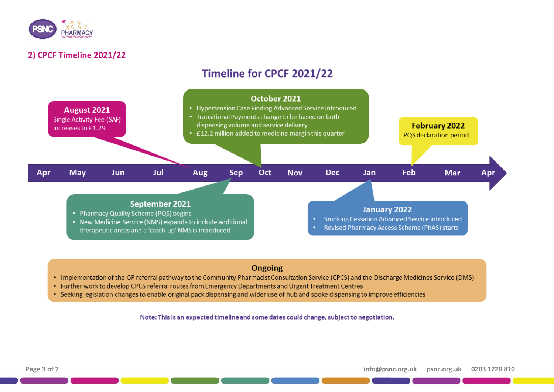

### **2) CPCF Timeline 2021/22**

## **Timeline for CPCF 2021/22**



### Ongoing

- Implementation of the GP referral pathway to the Community Pharmacist Consultation Service (CPCS) and the Discharge Medicines Service (DMS)
- . Further work to develop CPCS referral routes from Emergency Departments and Urgent Treatment Centres
- . Seeking legislation changes to enable original pack dispensing and wider use of hub and spoke dispensing to improve efficiencies

Note: This is an expected timeline and some dates could change, subject to negotiation.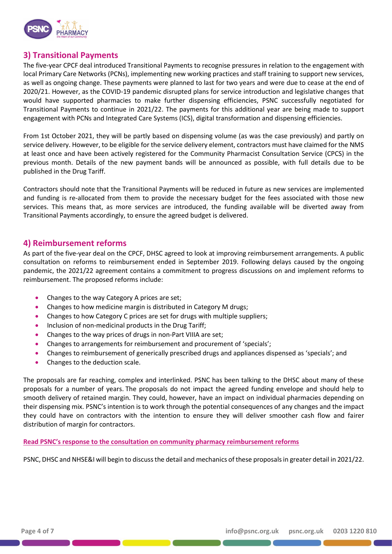

### **3) Transitional Payments**

The five-year CPCF deal introduced Transitional Payments to recognise pressures in relation to the engagement with local Primary Care Networks (PCNs), implementing new working practices and staff training to support new services, as well as ongoing change. These payments were planned to last for two years and were due to cease at the end of 2020/21. However, as the COVID-19 pandemic disrupted plans for service introduction and legislative changes that would have supported pharmacies to make further dispensing efficiencies, PSNC successfully negotiated for Transitional Payments to continue in 2021/22. The payments for this additional year are being made to support engagement with PCNs and Integrated Care Systems (ICS), digital transformation and dispensing efficiencies.

From 1st October 2021, they will be partly based on dispensing volume (as was the case previously) and partly on service delivery. However, to be eligible for the service delivery element, contractors must have claimed for the NMS at least once and have been actively registered for the Community Pharmacist Consultation Service (CPCS) in the previous month. Details of the new payment bands will be announced as possible, with full details due to be published in the Drug Tariff.

Contractors should note that the Transitional Payments will be reduced in future as new services are implemented and funding is re-allocated from them to provide the necessary budget for the fees associated with those new services. This means that, as more services are introduced, the funding available will be diverted away from Transitional Payments accordingly, to ensure the agreed budget is delivered.

#### **4) Reimbursement reforms**

As part of the five-year deal on the CPCF, DHSC agreed to look at improving reimbursement arrangements. A public consultation on reforms to reimbursement ended in September 2019. Following delays caused by the ongoing pandemic, the 2021/22 agreement contains a commitment to progress discussions on and implement reforms to reimbursement. The proposed reforms include:

- Changes to the way Category A prices are set;
- Changes to how medicine margin is distributed in Category M drugs;
- Changes to how Category C prices are set for drugs with multiple suppliers;
- Inclusion of non-medicinal products in the Drug Tariff;
- Changes to the way prices of drugs in non-Part VIIIA are set;
- Changes to arrangements for reimbursement and procurement of 'specials';
- Changes to reimbursement of generically prescribed drugs and appliances dispensed as 'specials'; and
- Changes to the deduction scale.

The proposals are far reaching, complex and interlinked. PSNC has been talking to the DHSC about many of these proposals for a number of years. The proposals do not impact the agreed funding envelope and should help to smooth delivery of retained margin. They could, however, have an impact on individual pharmacies depending on their dispensing mix. PSNC's intention is to work through the potential consequences of any changes and the impact they could have on contractors with the intention to ensure they will deliver smoother cash flow and fairer distribution of margin for contractors.

#### **[Read PSNC's response to the consultation on community pharmacy reimbursement reforms](https://psnc.org.uk/wp-content/uploads/2019/09/PSNC%E2%80%99s-response-to-Department-of-Health-and-Social-Care%E2%80%99s-consultation-on-community-pharmacy-reimbursement-reforms.pdf)**

PSNC, DHSC and NHSE&I will begin to discuss the detail and mechanics of these proposals in greater detail in 2021/22.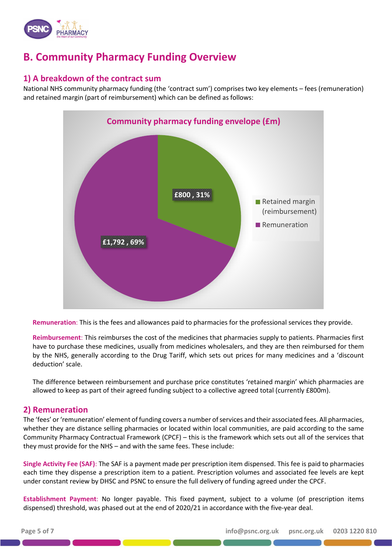

## **B. Community Pharmacy Funding Overview**

### **1) A breakdown of the contract sum**

National NHS community pharmacy funding (the 'contract sum') comprises two key elements – fees (remuneration) and retained margin (part of reimbursement) which can be defined as follows:



**Remuneration**: This is the fees and allowances paid to pharmacies for the professional services they provide.

**Reimbursement**: This reimburses the cost of the medicines that pharmacies supply to patients. Pharmacies first have to purchase these medicines, usually from medicines wholesalers, and they are then reimbursed for them by the NHS, generally according to the Drug Tariff, which sets out prices for many medicines and a 'discount deduction' scale.

The difference between reimbursement and purchase price constitutes 'retained margin' which pharmacies are allowed to keep as part of their agreed funding subject to a collective agreed total (currently £800m).

#### **2) Remuneration**

The 'fees' or 'remuneration' element of funding covers a number of services and their associated fees. All pharmacies, whether they are distance selling pharmacies or located within local communities, are paid according to the same Community Pharmacy Contractual Framework (CPCF) – this is the framework which sets out all of the services that they must provide for the NHS – and with the same fees. These include:

**Single Activity Fee (SAF)**: The SAF is a payment made per prescription item dispensed. This fee is paid to pharmacies each time they dispense a prescription item to a patient. Prescription volumes and associated fee levels are kept under constant review by DHSC and PSNC to ensure the full delivery of funding agreed under the CPCF.

**Establishment Payment**: No longer payable. This fixed payment, subject to a volume (of prescription items dispensed) threshold, was phased out at the end of 2020/21 in accordance with the five-year deal.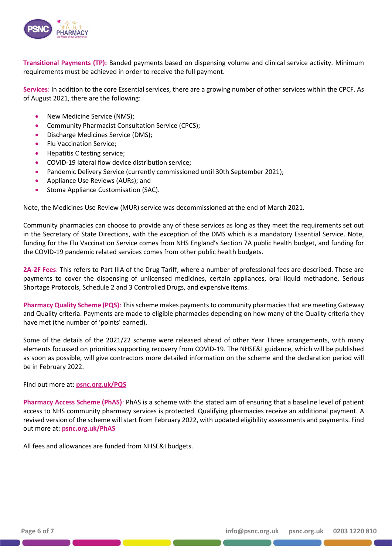

**Transitional Payments (TP):** Banded payments based on dispensing volume and clinical service activity. Minimum requirements must be achieved in order to receive the full payment.

**Services**: In addition to the core Essential services, there are a growing number of other services within the CPCF. As of August 2021, there are the following:

- New Medicine Service (NMS):
- Community Pharmacist Consultation Service (CPCS);
- Discharge Medicines Service (DMS);
- Flu Vaccination Service;
- Hepatitis C testing service;
- COVID-19 lateral flow device distribution service;
- Pandemic Delivery Service (currently commissioned until 30th September 2021);
- Appliance Use Reviews (AURs); and
- Stoma Appliance Customisation (SAC).

Note, the Medicines Use Review (MUR) service was decommissioned at the end of March 2021.

Community pharmacies can choose to provide any of these services as long as they meet the requirements set out in the Secretary of State Directions, with the exception of the DMS which is a mandatory Essential Service. Note, funding for the Flu Vaccination Service comes from NHS England's Section 7A public health budget, and funding for the COVID-19 pandemic related services comes from other public health budgets.

**2A-2F Fees**: This refers to Part IIIA of the Drug Tariff, where a number of professional fees are described. These are payments to cover the dispensing of unlicensed medicines, certain appliances, oral liquid methadone, Serious Shortage Protocols, Schedule 2 and 3 Controlled Drugs, and expensive items.

**Pharmacy Quality Scheme (PQS)**: This scheme makes payments to community pharmacies that are meeting Gateway and Quality criteria. Payments are made to eligible pharmacies depending on how many of the Quality criteria they have met (the number of 'points' earned).

Some of the details of the 2021/22 scheme were released ahead of other Year Three arrangements, with many elements focussed on priorities supporting recovery from COVID-19. The NHSE&I guidance, which will be published as soon as possible, will give contractors more detailed information on the scheme and the declaration period will be in February 2022.

Find out more at: **[psnc.org.uk/PQS](https://psnc.org.uk/pqs)**

**Pharmacy Access Scheme (PhAS)**: PhAS is a scheme with the stated aim of ensuring that a baseline level of patient access to NHS community pharmacy services is protected. Qualifying pharmacies receive an additional payment. A revised version of the scheme will start from February 2022, with updated eligibility assessments and payments. Find out more at: **[psnc.org.uk/PhAS](https://psnc.org.uk/phas)**

All fees and allowances are funded from NHSE&I budgets.